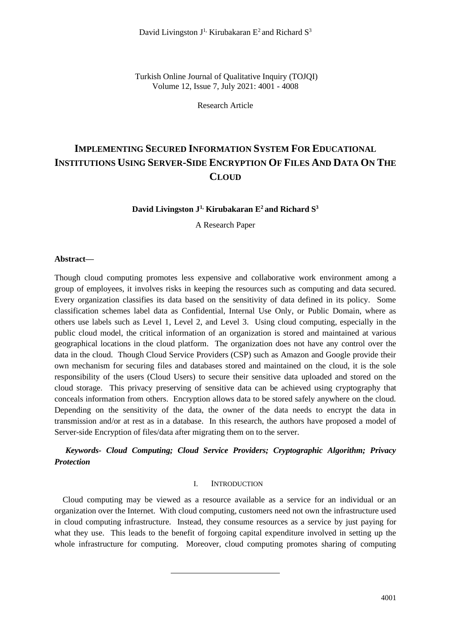Turkish Online Journal of Qualitative Inquiry (TOJQI) Volume 12, Issue 7, July 2021: 4001 - 4008

Research Article

# **IMPLEMENTING SECURED INFORMATION SYSTEM FOR EDUCATIONAL INSTITUTIONS USING SERVER-SIDE ENCRYPTION OF FILES AND DATA ON THE CLOUD**

### **David Livingston J1, Kirubakaran E<sup>2</sup> and Richard S<sup>3</sup>**

A Research Paper

#### **Abstract***—*

Though cloud computing promotes less expensive and collaborative work environment among a group of employees, it involves risks in keeping the resources such as computing and data secured. Every organization classifies its data based on the sensitivity of data defined in its policy. Some classification schemes label data as Confidential, Internal Use Only, or Public Domain, where as others use labels such as Level 1, Level 2, and Level 3. Using cloud computing, especially in the public cloud model, the critical information of an organization is stored and maintained at various geographical locations in the cloud platform. The organization does not have any control over the data in the cloud. Though Cloud Service Providers (CSP) such as Amazon and Google provide their own mechanism for securing files and databases stored and maintained on the cloud, it is the sole responsibility of the users (Cloud Users) to secure their sensitive data uploaded and stored on the cloud storage. This privacy preserving of sensitive data can be achieved using cryptography that conceals information from others. Encryption allows data to be stored safely anywhere on the cloud. Depending on the sensitivity of the data, the owner of the data needs to encrypt the data in transmission and/or at rest as in a database. In this research, the authors have proposed a model of Server-side Encryption of files/data after migrating them on to the server.

# *Keywords- Cloud Computing; Cloud Service Providers; Cryptographic Algorithm; Privacy Protection*

### I. INTRODUCTION

Cloud computing may be viewed as a resource available as a service for an individual or an organization over the Internet. With cloud computing, customers need not own the infrastructure used in cloud computing infrastructure. Instead, they consume resources as a service by just paying for what they use. This leads to the benefit of forgoing capital expenditure involved in setting up the whole infrastructure for computing. Moreover, cloud computing promotes sharing of computing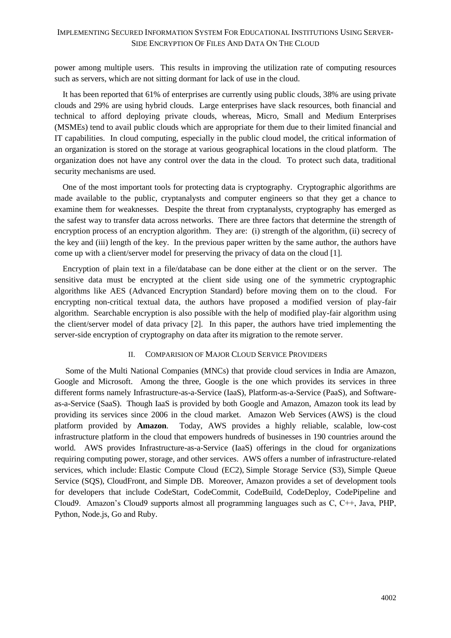power among multiple users. This results in improving the utilization rate of computing resources such as servers, which are not sitting dormant for lack of use in the cloud.

It has been reported that 61% of enterprises are currently using public clouds, 38% are using private clouds and 29% are using hybrid clouds. Large enterprises have slack resources, both financial and technical to afford deploying private clouds, whereas, Micro, Small and Medium Enterprises (MSMEs) tend to avail public clouds which are appropriate for them due to their limited financial and IT capabilities. In cloud computing, especially in the public cloud model, the critical information of an organization is stored on the storage at various geographical locations in the cloud platform. The organization does not have any control over the data in the cloud. To protect such data, traditional security mechanisms are used.

One of the most important tools for protecting data is cryptography. Cryptographic algorithms are made available to the public, cryptanalysts and computer engineers so that they get a chance to examine them for weaknesses. Despite the threat from cryptanalysts, cryptography has emerged as the safest way to transfer data across networks. There are three factors that determine the strength of encryption process of an encryption algorithm. They are: (i) strength of the algorithm, (ii) secrecy of the key and (iii) length of the key. In the previous paper written by the same author, the authors have come up with a client/server model for preserving the privacy of data on the cloud [1].

Encryption of plain text in a file/database can be done either at the client or on the server. The sensitive data must be encrypted at the client side using one of the symmetric cryptographic algorithms like AES (Advanced Encryption Standard) before moving them on to the cloud. For encrypting non-critical textual data, the authors have proposed a modified version of play-fair algorithm. Searchable encryption is also possible with the help of modified play-fair algorithm using the client/server model of data privacy [2]. In this paper, the authors have tried implementing the server-side encryption of cryptography on data after its migration to the remote server.

### II. COMPARISION OF MAJOR CLOUD SERVICE PROVIDERS

Some of the Multi National Companies (MNCs) that provide cloud services in India are Amazon, Google and Microsoft. Among the three, Google is the one which provides its services in three different forms namely Infrastructure-as-a-Service (IaaS), Platform-as-a-Service (PaaS), and Softwareas-a-Service (SaaS). Though IaaS is provided by both Google and Amazon, Amazon took its lead by providing its services since 2006 in the cloud market. Amazon Web Services (AWS) is the cloud platform provided by **Amazon**. Today, AWS provides a highly reliable, scalable, low-cost infrastructure platform in the cloud that empowers hundreds of businesses in 190 countries around the world. AWS provides Infrastructure-as-a-Service (IaaS) offerings in the cloud for organizations requiring computing power, storage, and other services. AWS offers a number of infrastructure-related services, which include: Elastic Compute Cloud (EC2), Simple Storage Service (S3), Simple Queue Service (SQS), CloudFront, and Simple DB. Moreover, Amazon provides a set of development tools for developers that include CodeStart, CodeCommit, CodeBuild, CodeDeploy, CodePipeline and Cloud9. Amazon's Cloud9 supports almost all programming languages such as C, C++, Java, PHP, Python, Node.js, Go and Ruby.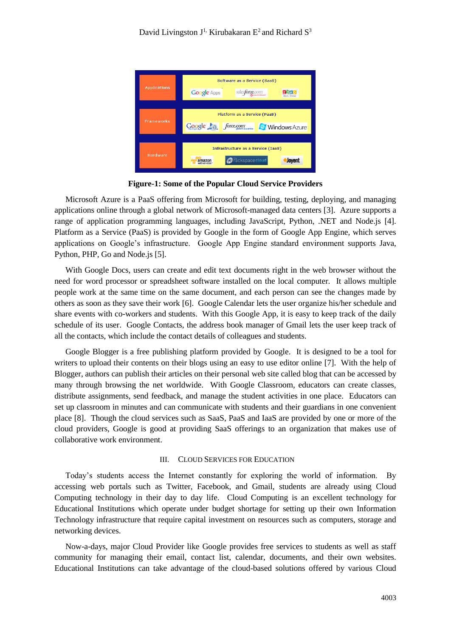

**Figure-1: Some of the Popular Cloud Service Providers**

Microsoft Azure is a PaaS offering from Microsoft for building, testing, deploying, and managing applications online through a global network of Microsoft-managed data centers [3]. Azure supports a range of application programming languages, including JavaScript, Python, .NET and Node.js [4]. Platform as a Service (PaaS) is provided by Google in the form of Google App Engine, which serves applications on Google's infrastructure. Google App Engine standard environment supports Java, Python, PHP, Go and Node.js [5].

With Google Docs, users can create and edit text documents right in the web browser without the need for word processor or spreadsheet software installed on the local computer. It allows multiple people work at the same time on the same document, and each person can see the changes made by others as soon as they save their work [6]. Google Calendar lets the user organize his/her schedule and share events with co-workers and students. With this Google App, it is easy to keep track of the daily schedule of its user. Google Contacts, the address book manager of Gmail lets the user keep track of all the contacts, which include the contact details of colleagues and students.

Google Blogger is a free publishing platform provided by Google. It is designed to be a tool for writers to upload their contents on their blogs using an easy to use editor online [7]. With the help of Blogger, authors can publish their articles on their personal web site called blog that can be accessed by many through browsing the net worldwide. With Google Classroom, educators can create classes, distribute assignments, send feedback, and manage the student activities in one place. Educators can set up classroom in minutes and can communicate with students and their guardians in one convenient place [8]. Though the cloud services such as SaaS, PaaS and IaaS are provided by one or more of the cloud providers, Google is good at providing SaaS offerings to an organization that makes use of collaborative work environment.

#### III. CLOUD SERVICES FOR EDUCATION

Today's students access the Internet constantly for exploring the world of information. By accessing web portals such as Twitter, Facebook, and Gmail, students are already using Cloud Computing technology in their day to day life. Cloud Computing is an excellent technology for Educational Institutions which operate under budget shortage for setting up their own Information Technology infrastructure that require capital investment on resources such as computers, storage and networking devices.

Now-a-days, major Cloud Provider like Google provides free services to students as well as staff community for managing their email, contact list, calendar, documents, and their own websites. Educational Institutions can take advantage of the cloud-based solutions offered by various Cloud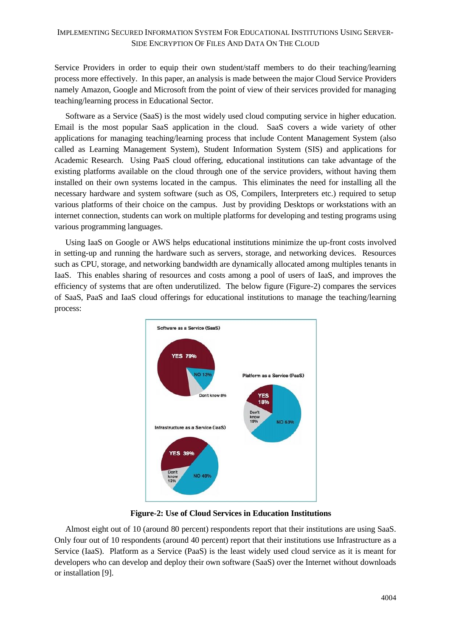Service Providers in order to equip their own student/staff members to do their teaching/learning process more effectively. In this paper, an analysis is made between the major Cloud Service Providers namely Amazon, Google and Microsoft from the point of view of their services provided for managing teaching/learning process in Educational Sector.

Software as a Service (SaaS) is the most widely used cloud computing service in higher education. Email is the most popular SaaS application in the cloud. SaaS covers a wide variety of other applications for managing teaching/learning process that include Content Management System (also called as Learning Management System), Student Information System (SIS) and applications for Academic Research. Using PaaS cloud offering, educational institutions can take advantage of the existing platforms available on the cloud through one of the service providers, without having them installed on their own systems located in the campus. This eliminates the need for installing all the necessary hardware and system software (such as OS, Compilers, Interpreters etc.) required to setup various platforms of their choice on the campus. Just by providing Desktops or workstations with an internet connection, students can work on multiple platforms for developing and testing programs using various programming languages.

Using IaaS on Google or AWS helps educational institutions minimize the up-front costs involved in setting-up and running the hardware such as servers, storage, and networking devices. Resources such as CPU, storage, and networking bandwidth are dynamically allocated among multiples tenants in IaaS. This enables sharing of resources and costs among a pool of users of IaaS, and improves the efficiency of systems that are often underutilized. The below figure (Figure-2) compares the services of SaaS, PaaS and IaaS cloud offerings for educational institutions to manage the teaching/learning process:



**Figure-2: Use of Cloud Services in Education Institutions**

Almost eight out of 10 (around 80 percent) respondents report that their institutions are using SaaS. Only four out of 10 respondents (around 40 percent) report that their institutions use Infrastructure as a Service (IaaS). Platform as a Service (PaaS) is the least widely used cloud service as it is meant for developers who can develop and deploy their own software (SaaS) over the Internet without downloads or installation [9].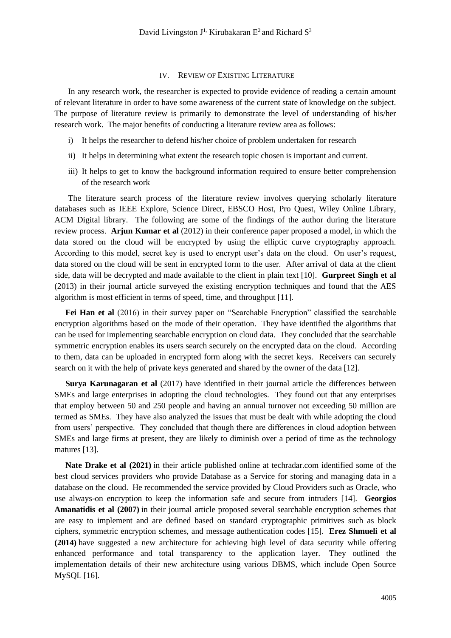#### IV. REVIEW OF EXISTING LITERATURE

In any research work, the researcher is expected to provide evidence of reading a certain amount of relevant literature in order to have some awareness of the current state of knowledge on the subject. The purpose of literature review is primarily to demonstrate the level of understanding of his/her research work. The major benefits of conducting a literature review area as follows:

- i) It helps the researcher to defend his/her choice of problem undertaken for research
- ii) It helps in determining what extent the research topic chosen is important and current.
- iii) It helps to get to know the background information required to ensure better comprehension of the research work

The literature search process of the literature review involves querying scholarly literature databases such as IEEE Explore, Science Direct, EBSCO Host, Pro Quest, Wiley Online Library, ACM Digital library. The following are some of the findings of the author during the literature review process. **Arjun Kumar et al** (2012) in their conference paper proposed a model, in which the data stored on the cloud will be encrypted by using the elliptic curve cryptography approach. According to this model, secret key is used to encrypt user's data on the cloud. On user's request, data stored on the cloud will be sent in encrypted form to the user. After arrival of data at the client side, data will be decrypted and made available to the client in plain text [10]. **Gurpreet Singh et al** (2013) in their journal article surveyed the existing encryption techniques and found that the AES algorithm is most efficient in terms of speed, time, and throughput [11].

**Fei Han et al** (2016) in their survey paper on "Searchable Encryption" classified the searchable encryption algorithms based on the mode of their operation. They have identified the algorithms that can be used for implementing searchable encryption on cloud data. They concluded that the searchable symmetric encryption enables its users search securely on the encrypted data on the cloud. According to them, data can be uploaded in encrypted form along with the secret keys. Receivers can securely search on it with the help of private keys generated and shared by the owner of the data [12].

**Surya Karunagaran et al** (2017) have identified in their journal article the differences between SMEs and large enterprises in adopting the cloud technologies. They found out that any enterprises that employ between 50 and 250 people and having an annual turnover not exceeding 50 million are termed as SMEs. They have also analyzed the issues that must be dealt with while adopting the cloud from users' perspective. They concluded that though there are differences in cloud adoption between SMEs and large firms at present, they are likely to diminish over a period of time as the technology matures [13].

**Nate Drake et al (2021)** in their article published online at techradar.com identified some of the best cloud services providers who provide Database as a Service for storing and managing data in a database on the cloud. He recommended the service provided by Cloud Providers such as Oracle, who use always-on encryption to keep the information safe and secure from intruders [14]. **Georgios Amanatidis et al (2007)** in their journal article proposed several searchable encryption schemes that are easy to implement and are defined based on standard cryptographic primitives such as block ciphers, symmetric encryption schemes, and message authentication codes [15]. **Erez Shmueli et al (2014)** have suggested a new architecture for achieving high level of data security while offering enhanced performance and total transparency to the application layer. They outlined the implementation details of their new architecture using various DBMS, which include Open Source MySQL [16].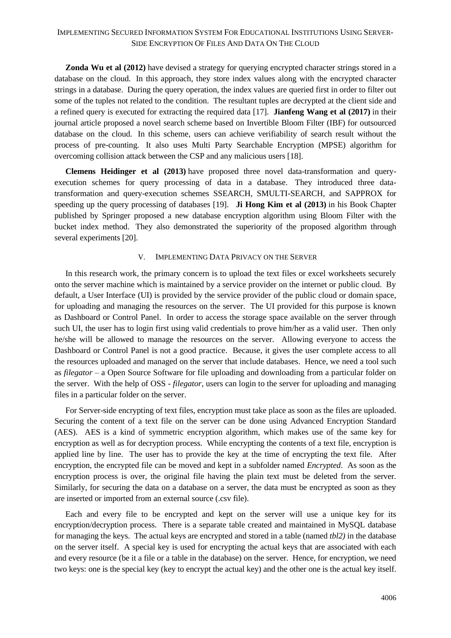**Zonda Wu et al (2012)** have devised a strategy for querying encrypted character strings stored in a database on the cloud. In this approach, they store index values along with the encrypted character strings in a database. During the query operation, the index values are queried first in order to filter out some of the tuples not related to the condition. The resultant tuples are decrypted at the client side and a refined query is executed for extracting the required data [17]. **Jianfeng Wang et al (2017)** in their journal article proposed a novel search scheme based on Invertible Bloom Filter (IBF) for outsourced database on the cloud. In this scheme, users can achieve verifiability of search result without the process of pre-counting. It also uses Multi Party Searchable Encryption (MPSE) algorithm for overcoming collision attack between the CSP and any malicious users [18].

**Clemens Heidinger et al (2013)** have proposed three novel data-transformation and queryexecution schemes for query processing of data in a database. They introduced three datatransformation and query-execution schemes SSEARCH, SMULTI-SEARCH, and SAPPROX for speeding up the query processing of databases [19]. **Ji Hong Kim et al (2013)** in his Book Chapter published by Springer proposed a new database encryption algorithm using Bloom Filter with the bucket index method. They also demonstrated the superiority of the proposed algorithm through several experiments [20].

### V. IMPLEMENTING DATA PRIVACY ON THE SERVER

In this research work, the primary concern is to upload the text files or excel worksheets securely onto the server machine which is maintained by a service provider on the internet or public cloud. By default, a User Interface (UI) is provided by the service provider of the public cloud or domain space, for uploading and managing the resources on the server. The UI provided for this purpose is known as Dashboard or Control Panel. In order to access the storage space available on the server through such UI, the user has to login first using valid credentials to prove him/her as a valid user. Then only he/she will be allowed to manage the resources on the server. Allowing everyone to access the Dashboard or Control Panel is not a good practice. Because, it gives the user complete access to all the resources uploaded and managed on the server that include databases. Hence, we need a tool such as *filegator* – a Open Source Software for file uploading and downloading from a particular folder on the server. With the help of OSS - *filegator*, users can login to the server for uploading and managing files in a particular folder on the server.

For Server-side encrypting of text files, encryption must take place as soon as the files are uploaded. Securing the content of a text file on the server can be done using Advanced Encryption Standard (AES). AES is a kind of symmetric encryption algorithm, which makes use of the same key for encryption as well as for decryption process. While encrypting the contents of a text file, encryption is applied line by line. The user has to provide the key at the time of encrypting the text file. After encryption, the encrypted file can be moved and kept in a subfolder named *Encrypted*. As soon as the encryption process is over, the original file having the plain text must be deleted from the server. Similarly, for securing the data on a database on a server, the data must be encrypted as soon as they are inserted or imported from an external source (.csv file).

Each and every file to be encrypted and kept on the server will use a unique key for its encryption/decryption process. There is a separate table created and maintained in MySQL database for managing the keys. The actual keys are encrypted and stored in a table (named *tbl2)* in the database on the server itself. A special key is used for encrypting the actual keys that are associated with each and every resource (be it a file or a table in the database) on the server. Hence, for encryption, we need two keys: one is the special key (key to encrypt the actual key) and the other one is the actual key itself.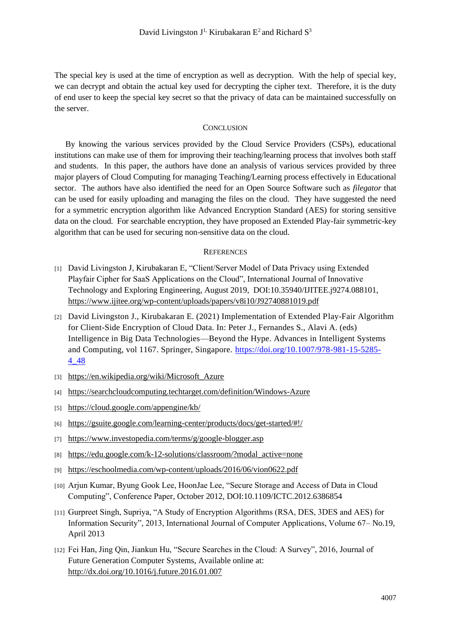The special key is used at the time of encryption as well as decryption. With the help of special key, we can decrypt and obtain the actual key used for decrypting the cipher text. Therefore, it is the duty of end user to keep the special key secret so that the privacy of data can be maintained successfully on the server.

### **CONCLUSION**

By knowing the various services provided by the Cloud Service Providers (CSPs), educational institutions can make use of them for improving their teaching/learning process that involves both staff and students. In this paper, the authors have done an analysis of various services provided by three major players of Cloud Computing for managing Teaching/Learning process effectively in Educational sector. The authors have also identified the need for an Open Source Software such as *filegator* that can be used for easily uploading and managing the files on the cloud. They have suggested the need for a symmetric encryption algorithm like Advanced Encryption Standard (AES) for storing sensitive data on the cloud. For searchable encryption, they have proposed an Extended Play-fair symmetric-key algorithm that can be used for securing non-sensitive data on the cloud.

#### **REFERENCES**

- [1] David Livingston J, Kirubakaran E, "Client/Server Model of Data Privacy using Extended Playfair Cipher for SaaS Applications on the Cloud", International Journal of Innovative Technology and Exploring Engineering, August 2019, DOI:10.35940/IJITEE.j9274.088101, <https://www.ijitee.org/wp-content/uploads/papers/v8i10/J92740881019.pdf>
- [2] David Livingston J., Kirubakaran E. (2021) Implementation of Extended Play-Fair Algorithm for Client-Side Encryption of Cloud Data. In: Peter J., Fernandes S., Alavi A. (eds) Intelligence in Big Data Technologies—Beyond the Hype. Advances in Intelligent Systems and Computing, vol 1167. Springer, Singapore. [https://doi.org/10.1007/978-981-15-5285-](https://doi.org/10.1007/978-981-15-5285-4_48) [4\\_48](https://doi.org/10.1007/978-981-15-5285-4_48)
- [3] [https://en.wikipedia.org/wiki/Microsoft\\_Azure](https://en.wikipedia.org/wiki/Microsoft_Azure)
- [4] <https://searchcloudcomputing.techtarget.com/definition/Windows-Azure>
- [5] <https://cloud.google.com/appengine/kb/>
- [6] <https://gsuite.google.com/learning-center/products/docs/get-started/#!/>
- [7] <https://www.investopedia.com/terms/g/google-blogger.asp>
- [8] [https://edu.google.com/k-12-solutions/classroom/?modal\\_active=none](https://edu.google.com/k-12-solutions/classroom/?modal_active=none)
- [9] <https://eschoolmedia.com/wp-content/uploads/2016/06/vion0622.pdf>
- [10] Arjun Kumar, Byung Gook Lee, HoonJae Lee, "Secure Storage and Access of Data in Cloud Computing", Conference Paper, October 2012, DOI:10.1109/ICTC.2012.6386854
- [11] Gurpreet Singh, Supriya, "A Study of Encryption Algorithms (RSA, DES, 3DES and AES) for Information Security", 2013, International Journal of Computer Applications, Volume 67– No.19, April 2013
- [12] Fei Han, Jing Qin, Jiankun Hu, "Secure Searches in the Cloud: A Survey", 2016, Journal of Future Generation Computer Systems, Available online at: <http://dx.doi.org/10.1016/j.future.2016.01.007>